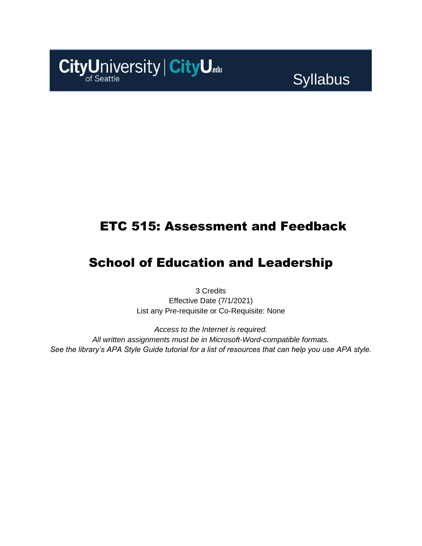# CityUniversity | CityU.edu

# **Syllabus**

# ETC 515: Assessment and Feedback

# School of Education and Leadership

3 Credits Effective Date (7/1/2021) List any Pre-requisite or Co-Requisite: None

*Access to the Internet is required. All written assignments must be in Microsoft-Word-compatible formats. See the library's APA Style Guide tutorial for a list of resources that can help you use APA style.*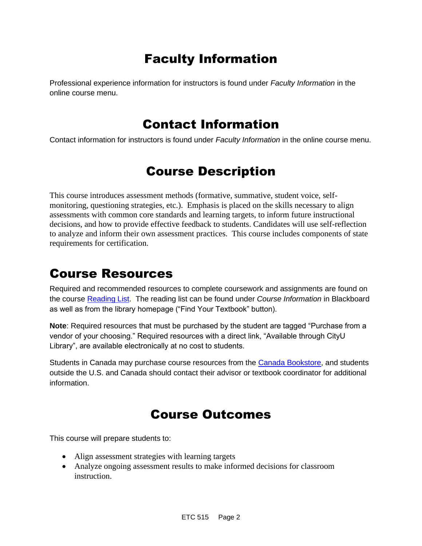# Faculty Information

Professional experience information for instructors is found under *Faculty Information* in the online course menu.

## Contact Information

Contact information for instructors is found under *Faculty Information* in the online course menu.

# Course Description

This course introduces assessment methods (formative, summative, student voice, selfmonitoring, questioning strategies, etc.). Emphasis is placed on the skills necessary to align assessments with common core standards and learning targets, to inform future instructional decisions, and how to provide effective feedback to students. Candidates will use self-reflection to analyze and inform their own assessment practices. This course includes components of state requirements for certification.

## Course Resources

Required and recommended resources to complete coursework and assignments are found on the course [Reading List.](https://cityu.alma.exlibrisgroup.com/leganto/login?auth=SAML) The reading list can be found under *Course Information* in Blackboard as well as from the library homepage ("Find Your Textbook" button).

**Note**: Required resources that must be purchased by the student are tagged "Purchase from a vendor of your choosing." Required resources with a direct link, "Available through CityU Library", are available electronically at no cost to students.

Students in Canada may purchase course resources from the [Canada Bookstore,](https://www.cityubookstore.ca/index.asp) and students outside the U.S. and Canada should contact their advisor or textbook coordinator for additional information.

## Course Outcomes

This course will prepare students to:

- Align assessment strategies with learning targets
- Analyze ongoing assessment results to make informed decisions for classroom instruction.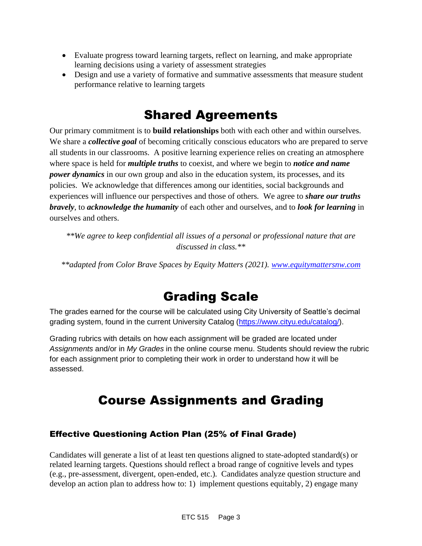- Evaluate progress toward learning targets, reflect on learning, and make appropriate learning decisions using a variety of assessment strategies
- Design and use a variety of formative and summative assessments that measure student performance relative to learning targets

# Shared Agreements

Our primary commitment is to **build relationships** both with each other and within ourselves. We share a *collective goal* of becoming critically conscious educators who are prepared to serve all students in our classrooms. A positive learning experience relies on creating an atmosphere where space is held for *multiple truths* to coexist, and where we begin to *notice and name power dynamics* in our own group and also in the education system, its processes, and its policies. We acknowledge that differences among our identities, social backgrounds and experiences will influence our perspectives and those of others*.* We agree to *share our truths bravely*, to *acknowledge the humanity* of each other and ourselves, and to *look for learning* in ourselves and others.

*\*\*We agree to keep confidential all issues of a personal or professional nature that are discussed in class.\*\**

*\*\*adapted from Color Brave Spaces by Equity Matters (2021). [www.equitymattersnw.com](http://www.equitymattersnw.com/)*

# Grading Scale

The grades earned for the course will be calculated using City University of Seattle's decimal grading system, found in the current University Catalog [\(https://www.cityu.edu/catalog/\)](https://www.cityu.edu/catalog/).

Grading rubrics with details on how each assignment will be graded are located under *Assignments* and/or in *My Grades* in the online course menu. Students should review the rubric for each assignment prior to completing their work in order to understand how it will be assessed.

# Course Assignments and Grading

## Effective Questioning Action Plan (25% of Final Grade)

Candidates will generate a list of at least ten questions aligned to state-adopted standard(s) or related learning targets. Questions should reflect a broad range of cognitive levels and types (e.g., pre-assessment, divergent, open-ended, etc.). Candidates analyze question structure and develop an action plan to address how to: 1) implement questions equitably, 2) engage many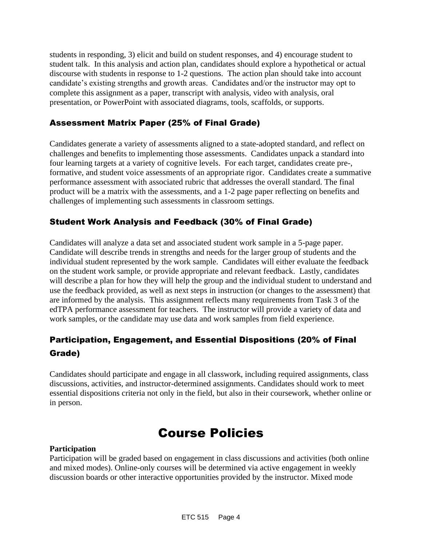students in responding, 3) elicit and build on student responses, and 4) encourage student to student talk. In this analysis and action plan, candidates should explore a hypothetical or actual discourse with students in response to 1-2 questions. The action plan should take into account candidate's existing strengths and growth areas. Candidates and/or the instructor may opt to complete this assignment as a paper, transcript with analysis, video with analysis, oral presentation, or PowerPoint with associated diagrams, tools, scaffolds, or supports.

## Assessment Matrix Paper (25% of Final Grade)

Candidates generate a variety of assessments aligned to a state-adopted standard, and reflect on challenges and benefits to implementing those assessments. Candidates unpack a standard into four learning targets at a variety of cognitive levels. For each target, candidates create pre-, formative, and student voice assessments of an appropriate rigor. Candidates create a summative performance assessment with associated rubric that addresses the overall standard. The final product will be a matrix with the assessments, and a 1-2 page paper reflecting on benefits and challenges of implementing such assessments in classroom settings.

## Student Work Analysis and Feedback (30% of Final Grade)

Candidates will analyze a data set and associated student work sample in a 5-page paper. Candidate will describe trends in strengths and needs for the larger group of students and the individual student represented by the work sample. Candidates will either evaluate the feedback on the student work sample, or provide appropriate and relevant feedback. Lastly, candidates will describe a plan for how they will help the group and the individual student to understand and use the feedback provided, as well as next steps in instruction (or changes to the assessment) that are informed by the analysis. This assignment reflects many requirements from Task 3 of the edTPA performance assessment for teachers. The instructor will provide a variety of data and work samples, or the candidate may use data and work samples from field experience.

## Participation, Engagement, and Essential Dispositions (20% of Final Grade)

Candidates should participate and engage in all classwork, including required assignments, class discussions, activities, and instructor-determined assignments. Candidates should work to meet essential dispositions criteria not only in the field, but also in their coursework, whether online or in person.

## Course Policies

#### **Participation**

Participation will be graded based on engagement in class discussions and activities (both online and mixed modes). Online-only courses will be determined via active engagement in weekly discussion boards or other interactive opportunities provided by the instructor. Mixed mode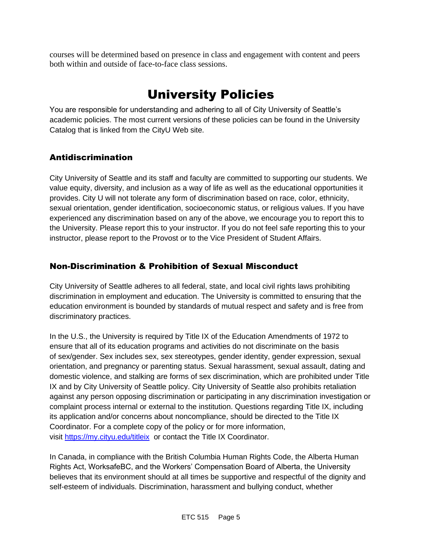courses will be determined based on presence in class and engagement with content and peers both within and outside of face-to-face class sessions.

# University Policies

You are responsible for understanding and adhering to all of City University of Seattle's academic policies. The most current versions of these policies can be found in the University Catalog that is linked from the CityU Web site.

## Antidiscrimination

City University of Seattle and its staff and faculty are committed to supporting our students. We value equity, diversity, and inclusion as a way of life as well as the educational opportunities it provides. City U will not tolerate any form of discrimination based on race, color, ethnicity, sexual orientation, gender identification, socioeconomic status, or religious values. If you have experienced any discrimination based on any of the above, we encourage you to report this to the University. Please report this to your instructor. If you do not feel safe reporting this to your instructor, please report to the Provost or to the Vice President of Student Affairs.

## Non-Discrimination & Prohibition of Sexual Misconduct

City University of Seattle adheres to all federal, state, and local civil rights laws prohibiting discrimination in employment and education. The University is committed to ensuring that the education environment is bounded by standards of mutual respect and safety and is free from discriminatory practices.

In the U.S., the University is required by Title IX of the Education Amendments of 1972 to ensure that all of its education programs and activities do not discriminate on the basis of sex/gender. Sex includes sex, sex stereotypes, gender identity, gender expression, sexual orientation, and pregnancy or parenting status. Sexual harassment, sexual assault, dating and domestic violence, and stalking are forms of sex discrimination, which are prohibited under Title IX and by City University of Seattle policy. City University of Seattle also prohibits retaliation against any person opposing discrimination or participating in any discrimination investigation or complaint process internal or external to the institution. Questions regarding Title IX, including its application and/or concerns about noncompliance, should be directed to the Title IX Coordinator. For a complete copy of the policy or for more information, visit [https://my.cityu.edu/titleix](https://nam11.safelinks.protection.outlook.com/?url=https%3A%2F%2Fmy.cityu.edu%2Ftitleix&data=04%7C01%7Claker%40cityu.edu%7Cbc558c70c10340dbaa2408d9172365a0%7Cb3fa96d9f5154662add763d854e39e63%7C1%7C0%7C637566263054321964%7CUnknown%7CTWFpbGZsb3d8eyJWIjoiMC4wLjAwMDAiLCJQIjoiV2luMzIiLCJBTiI6Ik1haWwiLCJXVCI6Mn0%3D%7C1000&sdata=GX0hgfxN2OMKFTKjD04gqvwwyU44mfnCmEdCtsEzab0%3D&reserved=0) or contact the Title IX Coordinator.

In Canada, in compliance with the British Columbia Human Rights Code, the Alberta Human Rights Act, WorksafeBC, and the Workers' Compensation Board of Alberta, the University believes that its environment should at all times be supportive and respectful of the dignity and self-esteem of individuals. Discrimination, harassment and bullying conduct, whether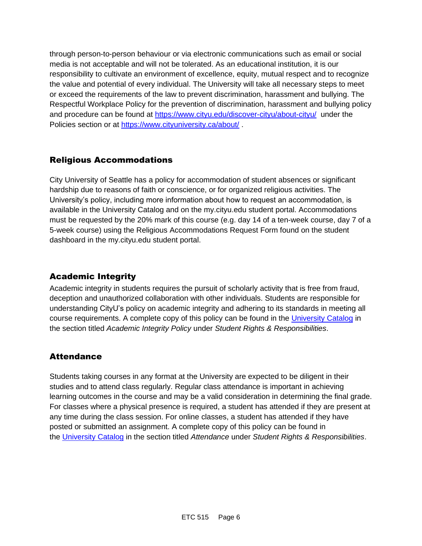through person-to-person behaviour or via electronic communications such as email or social media is not acceptable and will not be tolerated. As an educational institution, it is our responsibility to cultivate an environment of excellence, equity, mutual respect and to recognize the value and potential of every individual. The University will take all necessary steps to meet or exceed the requirements of the law to prevent discrimination, harassment and bullying. The Respectful Workplace Policy for the prevention of discrimination, harassment and bullying policy and procedure can be found at [https://www.cityu.edu/discover-cityu/about-cityu/](https://nam11.safelinks.protection.outlook.com/?url=https%3A%2F%2Fwww.cityu.edu%2Fdiscover-cityu%2Fabout-cityu%2F&data=04%7C01%7Claker%40cityu.edu%7Cbc558c70c10340dbaa2408d9172365a0%7Cb3fa96d9f5154662add763d854e39e63%7C1%7C0%7C637566263054331957%7CUnknown%7CTWFpbGZsb3d8eyJWIjoiMC4wLjAwMDAiLCJQIjoiV2luMzIiLCJBTiI6Ik1haWwiLCJXVCI6Mn0%3D%7C1000&sdata=7Q6QoqwuNLfeOJPewViWSeIwRIBy%2BoqDOiP8xSHYm78%3D&reserved=0) under the Policies section or at [https://www.cityuniversity.ca/about/](https://nam11.safelinks.protection.outlook.com/?url=https%3A%2F%2Fwww.cityuniversity.ca%2Fabout%2F&data=04%7C01%7Claker%40cityu.edu%7Cbc558c70c10340dbaa2408d9172365a0%7Cb3fa96d9f5154662add763d854e39e63%7C1%7C0%7C637566263054331957%7CUnknown%7CTWFpbGZsb3d8eyJWIjoiMC4wLjAwMDAiLCJQIjoiV2luMzIiLCJBTiI6Ik1haWwiLCJXVCI6Mn0%3D%7C1000&sdata=TX6bXEiU0CC6hC1mrTnKpuJywbR06qAj7RMu8QC4RUA%3D&reserved=0)

## Religious Accommodations

City University of Seattle has a policy for accommodation of student absences or significant hardship due to reasons of faith or conscience, or for organized religious activities. The University's policy, including more information about how to request an accommodation, is available in the University Catalog and on the my.cityu.edu student portal. Accommodations must be requested by the 20% mark of this course (e.g. day 14 of a ten-week course, day 7 of a 5-week course) using the Religious Accommodations Request Form found on the student dashboard in the my.cityu.edu student portal.

## Academic Integrity

Academic integrity in students requires the pursuit of scholarly activity that is free from fraud, deception and unauthorized collaboration with other individuals. Students are responsible for understanding CityU's policy on academic integrity and adhering to its standards in meeting all course requirements. A complete copy of this policy can be found in the [University Catalog](https://nam11.safelinks.protection.outlook.com/?url=http%3A%2F%2Fwww.cityu.edu%2Fcatalog%2F&data=04%7C01%7Claker%40cityu.edu%7Cbc558c70c10340dbaa2408d9172365a0%7Cb3fa96d9f5154662add763d854e39e63%7C1%7C0%7C637566263054341952%7CUnknown%7CTWFpbGZsb3d8eyJWIjoiMC4wLjAwMDAiLCJQIjoiV2luMzIiLCJBTiI6Ik1haWwiLCJXVCI6Mn0%3D%7C1000&sdata=aL6fsSyLtVzJgdrlE9PtZXb%2F3H6wCdrvPcw4zOoEYTI%3D&reserved=0) in the section titled *Academic Integrity Policy* under *Student Rights & Responsibilities*.

## **Attendance**

Students taking courses in any format at the University are expected to be diligent in their studies and to attend class regularly. Regular class attendance is important in achieving learning outcomes in the course and may be a valid consideration in determining the final grade. For classes where a physical presence is required, a student has attended if they are present at any time during the class session. For online classes, a student has attended if they have posted or submitted an assignment. A complete copy of this policy can be found in the [University Catalog](https://nam11.safelinks.protection.outlook.com/?url=http%3A%2F%2Fwww.cityu.edu%2Fcatalog%2F&data=04%7C01%7Claker%40cityu.edu%7Cbc558c70c10340dbaa2408d9172365a0%7Cb3fa96d9f5154662add763d854e39e63%7C1%7C0%7C637566263054341952%7CUnknown%7CTWFpbGZsb3d8eyJWIjoiMC4wLjAwMDAiLCJQIjoiV2luMzIiLCJBTiI6Ik1haWwiLCJXVCI6Mn0%3D%7C1000&sdata=aL6fsSyLtVzJgdrlE9PtZXb%2F3H6wCdrvPcw4zOoEYTI%3D&reserved=0) in the section titled *Attendance* under *Student Rights & Responsibilities*.